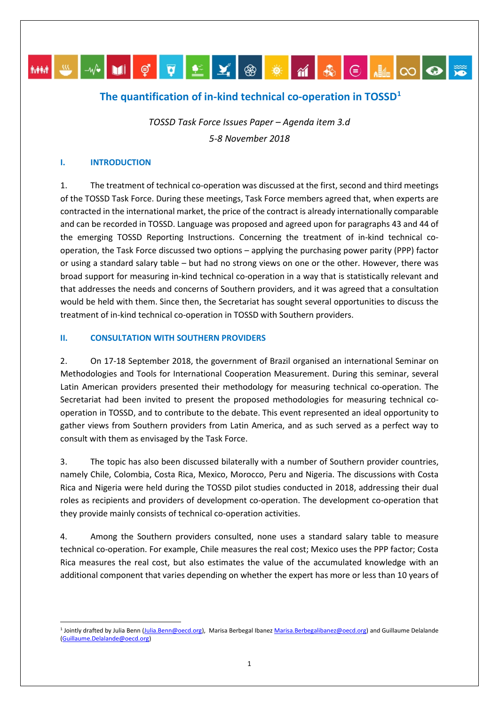# MM S V DI Ç Q LE Y ® <del>X</del> M & © H Q Q <del>X</del>

## **The quantification of in-kind technical co-operation in TOSSD[1](#page-0-0)**

*TOSSD Task Force Issues Paper – Agenda item 3.d 5-8 November 2018*

#### **I. INTRODUCTION**

1. The treatment of technical co-operation was discussed at the first, second and third meetings of the TOSSD Task Force. During these meetings, Task Force members agreed that, when experts are contracted in the international market, the price of the contract is already internationally comparable and can be recorded in TOSSD. Language was proposed and agreed upon for paragraphs 43 and 44 of the emerging TOSSD Reporting Instructions. Concerning the treatment of in-kind technical cooperation, the Task Force discussed two options – applying the purchasing power parity (PPP) factor or using a standard salary table – but had no strong views on one or the other. However, there was broad support for measuring in-kind technical co-operation in a way that is statistically relevant and that addresses the needs and concerns of Southern providers, and it was agreed that a consultation would be held with them. Since then, the Secretariat has sought several opportunities to discuss the treatment of in-kind technical co-operation in TOSSD with Southern providers.

#### **II. CONSULTATION WITH SOUTHERN PROVIDERS**

2. On 17-18 September 2018, the government of Brazil organised an international Seminar on Methodologies and Tools for International Cooperation Measurement. During this seminar, several Latin American providers presented their methodology for measuring technical co-operation. The Secretariat had been invited to present the proposed methodologies for measuring technical cooperation in TOSSD, and to contribute to the debate. This event represented an ideal opportunity to gather views from Southern providers from Latin America, and as such served as a perfect way to consult with them as envisaged by the Task Force.

3. The topic has also been discussed bilaterally with a number of Southern provider countries, namely Chile, Colombia, Costa Rica, Mexico, Morocco, Peru and Nigeria. The discussions with Costa Rica and Nigeria were held during the TOSSD pilot studies conducted in 2018, addressing their dual roles as recipients and providers of development co-operation. The development co-operation that they provide mainly consists of technical co-operation activities.

4. Among the Southern providers consulted, none uses a standard salary table to measure technical co-operation. For example, Chile measures the real cost; Mexico uses the PPP factor; Costa Rica measures the real cost, but also estimates the value of the accumulated knowledge with an additional component that varies depending on whether the expert has more or less than 10 years of

<span id="page-0-0"></span> <sup>1</sup> Jointly drafted by Julia Benn [\(Julia.Benn@oecd.org\)](mailto:Julia.Benn@oecd.org), Marisa Berbegal Ibane[z Marisa.Berbegalibanez@oecd.org\)](mailto:Marisa.Berbegalibanez@oecd.org) and Guillaume Delalande [\(Guillaume.Delalande@oecd.org\)](mailto:Guillaume.Delalande@oecd.org)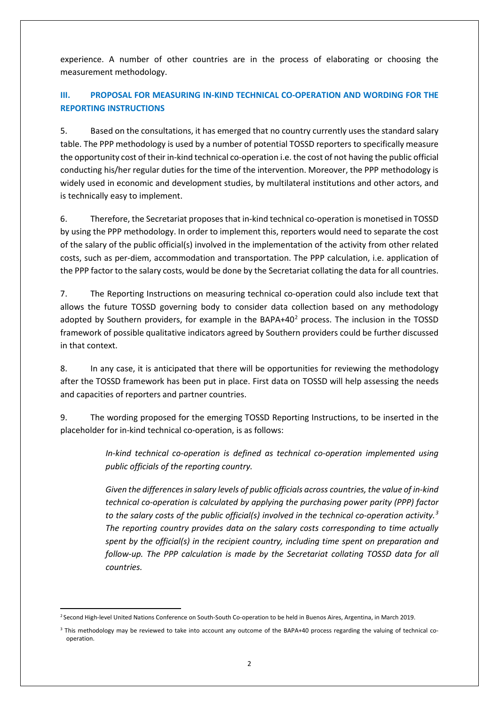experience. A number of other countries are in the process of elaborating or choosing the measurement methodology.

### **III. PROPOSAL FOR MEASURING IN-KIND TECHNICAL CO-OPERATION AND WORDING FOR THE REPORTING INSTRUCTIONS**

5. Based on the consultations, it has emerged that no country currently uses the standard salary table. The PPP methodology is used by a number of potential TOSSD reporters to specifically measure the opportunity cost of their in-kind technical co-operation i.e. the cost of not having the public official conducting his/her regular duties for the time of the intervention. Moreover, the PPP methodology is widely used in economic and development studies, by multilateral institutions and other actors, and is technically easy to implement.

6. Therefore, the Secretariat proposes that in-kind technical co-operation is monetised in TOSSD by using the PPP methodology. In order to implement this, reporters would need to separate the cost of the salary of the public official(s) involved in the implementation of the activity from other related costs, such as per-diem, accommodation and transportation. The PPP calculation, i.e. application of the PPP factor to the salary costs, would be done by the Secretariat collating the data for all countries.

7. The Reporting Instructions on measuring technical co-operation could also include text that allows the future TOSSD governing body to consider data collection based on any methodology adopted by Southern providers, for example in the BAPA+40 $2$  process. The inclusion in the TOSSD framework of possible qualitative indicators agreed by Southern providers could be further discussed in that context.

8. In any case, it is anticipated that there will be opportunities for reviewing the methodology after the TOSSD framework has been put in place. First data on TOSSD will help assessing the needs and capacities of reporters and partner countries.

9. The wording proposed for the emerging TOSSD Reporting Instructions, to be inserted in the placeholder for in-kind technical co-operation, is as follows:

> *In-kind technical co-operation is defined as technical co-operation implemented using public officials of the reporting country.*

> *Given the differences in salary levels of public officials across countries, the value of in-kind technical co-operation is calculated by applying the purchasing power parity (PPP) factor to the salary costs of the public official(s) involved in the technical co-operation activity. [3](#page-1-1) The reporting country provides data on the salary costs corresponding to time actually spent by the official(s) in the recipient country, including time spent on preparation and follow-up. The PPP calculation is made by the Secretariat collating TOSSD data for all countries.*

<span id="page-1-0"></span> <sup>2</sup> Second High-level United Nations Conference on South-South Co-operation to be held in Buenos Aires, Argentina, in March 2019.

<span id="page-1-1"></span><sup>&</sup>lt;sup>3</sup> This methodology may be reviewed to take into account any outcome of the BAPA+40 process regarding the valuing of technical cooperation.